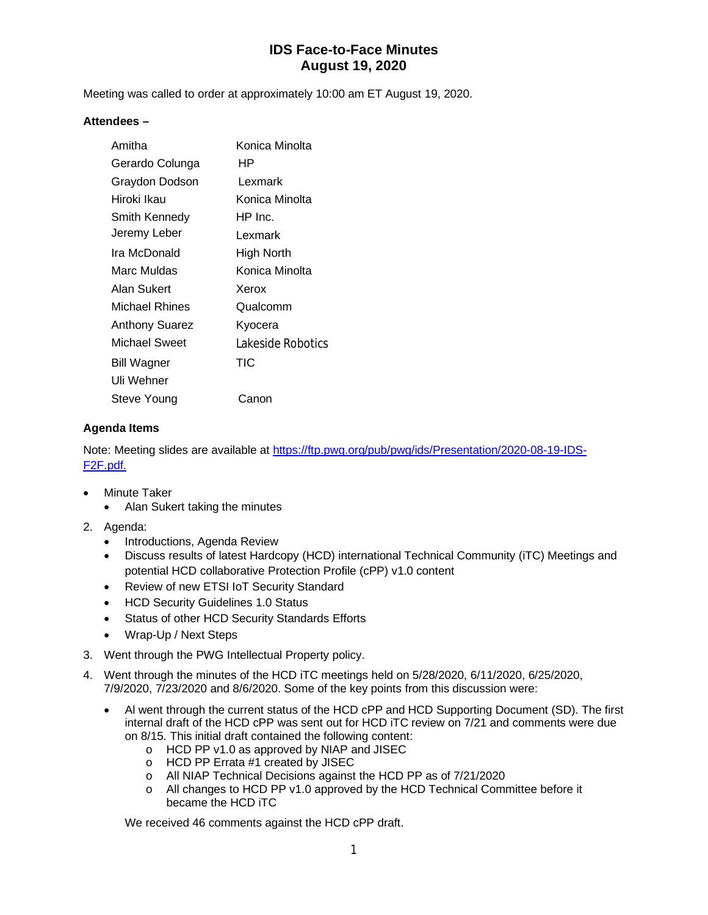Meeting was called to order at approximately 10:00 am ET August 19, 2020.

#### **Attendees –**

| Amitha             | Konica Minolta    |
|--------------------|-------------------|
| Gerardo Colunga    | HР                |
| Graydon Dodson     | l exmark          |
| Hiroki Ikau        | Konica Minolta    |
| Smith Kennedy      | HP Inc.           |
| Jeremy Leber       | Lexmark           |
| Ira McDonald       | High North        |
| Marc Muldas        | Konica Minolta    |
| Alan Sukert        | Xerox             |
| Michael Rhines     | Qualcomm          |
| Anthony Suarez     | Kyocera           |
| Michael Sweet      | Lakeside Robotics |
| <b>Bill Wagner</b> | TIC               |
| Uli Wehner         |                   |
| Steve Young        | Canon             |

#### **Agenda Items**

Note: Meeting slides are available at <https://ftp.pwg.org/pub/pwg/ids/Presentation/2020-08-19-IDS->F2F.pdf.

- Minute Taker
	- Alan Sukert taking the minutes
- 2. Agenda:
	- Introductions, Agenda Review
	- Discuss results of latest Hardcopy (HCD) international Technical Community (iTC) Meetings and potential HCD collaborative Protection Profile (cPP) v1.0 content
	- Review of new ETSI IoT Security Standard
	- HCD Security Guidelines 1.0 Status
	- Status of other HCD Security Standards Efforts
	- Wrap-Up / Next Steps
- 3. Went through the PWG Intellectual Property policy.
- 4. Went through the minutes of the HCD iTC meetings held on 5/28/2020, 6/11/2020, 6/25/2020, 7/9/2020, 7/23/2020 and 8/6/2020. Some of the key points from this discussion were:
	- Al went through the current status of the HCD cPP and HCD Supporting Document (SD). The first internal draft of the HCD cPP was sent out for HCD iTC review on 7/21 and comments were due on 8/15. This initial draft contained the following content:
		- o HCD PP v1.0 as approved by NIAP and JISEC
		- o HCD PP Errata #1 created by JISEC
		- o All NIAP Technical Decisions against the HCD PP as of 7/21/2020
		- o All changes to HCD PP v1.0 approved by the HCD Technical Committee before it became the HCD iTC

We received 46 comments against the HCD cPP draft.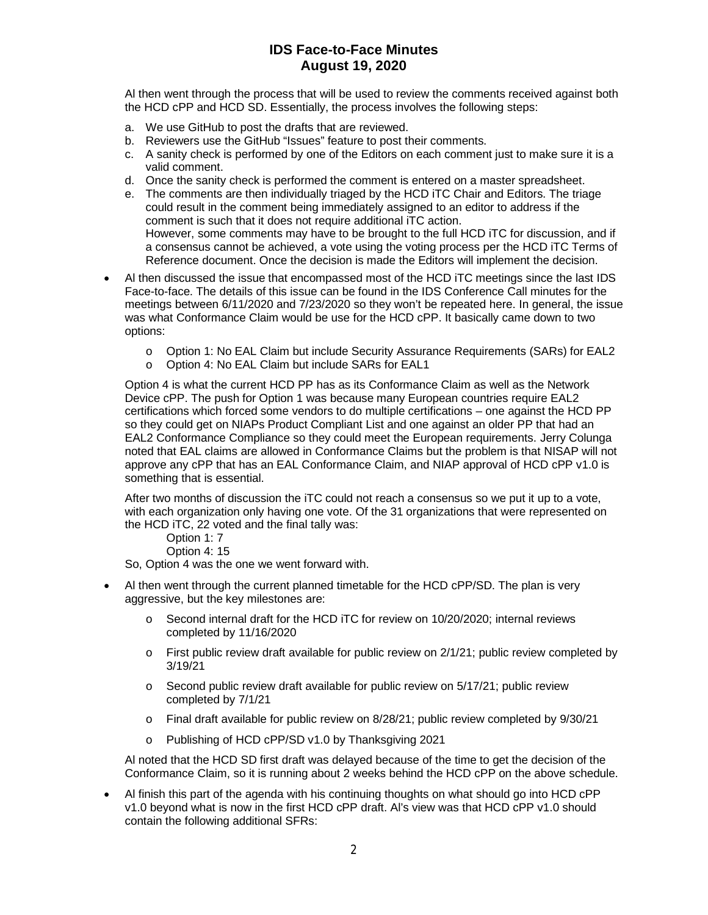Al then went through the process that will be used to review the comments received against both the HCD cPP and HCD SD. Essentially, the process involves the following steps:

- a. We use GitHub to post the drafts that are reviewed.
- b. Reviewers use the GitHub "Issues" feature to post their comments.
- c. A sanity check is performed by one of the Editors on each comment just to make sure it is a valid comment.
- d. Once the sanity check is performed the comment is entered on a master spreadsheet.
- e. The comments are then individually triaged by the HCD iTC Chair and Editors. The triage could result in the comment being immediately assigned to an editor to address if the comment is such that it does not require additional iTC action. However, some comments may have to be brought to the full HCD iTC for discussion, and if a consensus cannot be achieved, a vote using the voting process per the HCD iTC Terms of Reference document. Once the decision is made the Editors will implement the decision.
- Al then discussed the issue that encompassed most of the HCD iTC meetings since the last IDS Face-to-face. The details of this issue can be found in the IDS Conference Call minutes for the meetings between 6/11/2020 and 7/23/2020 so they won't be repeated here. In general, the issue was what Conformance Claim would be use for the HCD cPP. It basically came down to two options:
	- o Option 1: No EAL Claim but include Security Assurance Requirements (SARs) for EAL2
	- o Option 4: No EAL Claim but include SARs for EAL1

Option 4 is what the current HCD PP has as its Conformance Claim as well as the Network Device cPP. The push for Option 1 was because many European countries require EAL2 certifications which forced some vendors to do multiple certifications – one against the HCD PP so they could get on NIAPs Product Compliant List and one against an older PP that had an EAL2 Conformance Compliance so they could meet the European requirements. Jerry Colunga noted that EAL claims are allowed in Conformance Claims but the problem is that NISAP will not approve any cPP that has an EAL Conformance Claim, and NIAP approval of HCD cPP v1.0 is something that is essential.

After two months of discussion the iTC could not reach a consensus so we put it up to a vote, with each organization only having one vote. Of the 31 organizations that were represented on the HCD iTC, 22 voted and the final tally was:

Option 1: 7

Option 4: 15

So, Option 4 was the one we went forward with.

- Al then went through the current planned timetable for the HCD cPP/SD. The plan is very aggressive, but the key milestones are:
	- o Second internal draft for the HCD iTC for review on 10/20/2020; internal reviews completed by 11/16/2020
	- $\circ$  First public review draft available for public review on 2/1/21; public review completed by 3/19/21
	- $\circ$  Second public review draft available for public review on  $5/17/21$ ; public review completed by 7/1/21
	- o Final draft available for public review on 8/28/21; public review completed by 9/30/21
	- o Publishing of HCD cPP/SD v1.0 by Thanksgiving 2021

Al noted that the HCD SD first draft was delayed because of the time to get the decision of the Conformance Claim, so it is running about 2 weeks behind the HCD cPP on the above schedule.

 Al finish this part of the agenda with his continuing thoughts on what should go into HCD cPP v1.0 beyond what is now in the first HCD cPP draft. Al's view was that HCD cPP v1.0 should contain the following additional SFRs: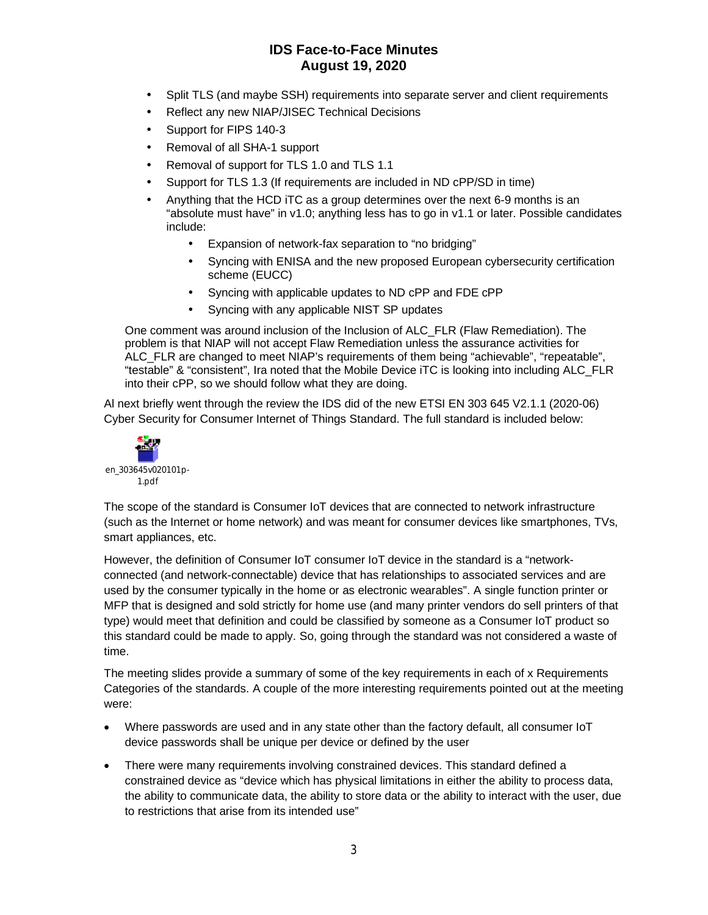- Split TLS (and maybe SSH) requirements into separate server and client requirements
- Reflect any new NIAP/JISEC Technical Decisions
- Support for FIPS 140-3
- Removal of all SHA-1 support
- Removal of support for TLS 1.0 and TLS 1.1
- Support for TLS 1.3 (If requirements are included in ND cPP/SD in time)
- Anything that the HCD iTC as a group determines over the next 6-9 months is an "absolute must have" in v1.0; anything less has to go in v1.1 or later. Possible candidates include:
	- Expansion of network-fax separation to "no bridging"
	- Syncing with ENISA and the new proposed European cybersecurity certification scheme (EUCC)
	- Syncing with applicable updates to ND cPP and FDE cPP
	- Syncing with any applicable NIST SP updates

One comment was around inclusion of the Inclusion of ALC\_FLR (Flaw Remediation). The problem is that NIAP will not accept Flaw Remediation unless the assurance activities for ALC\_FLR are changed to meet NIAP's requirements of them being "achievable", "repeatable", "testable" & "consistent", Ira noted that the Mobile Device iTC is looking into including ALC\_FLR into their cPP, so we should follow what they are doing.

Al next briefly went through the review the IDS did of the new ETSI EN 303 645 V2.1.1 (2020-06) Cyber Security for Consumer Internet of Things Standard. The full standard is included below:



The scope of the standard is Consumer IoT devices that are connected to network infrastructure (such as the Internet or home network) and was meant for consumer devices like smartphones, TVs, smart appliances, etc.

However, the definition of Consumer IoT consumer IoT device in the standard is a "networkconnected (and network-connectable) device that has relationships to associated services and are used by the consumer typically in the home or as electronic wearables". A single function printer or MFP that is designed and sold strictly for home use (and many printer vendors do sell printers of that type) would meet that definition and could be classified by someone as a Consumer IoT product so this standard could be made to apply. So, going through the standard was not considered a waste of time.

The meeting slides provide a summary of some of the key requirements in each of x Requirements Categories of the standards. A couple of the more interesting requirements pointed out at the meeting were:

- Where passwords are used and in any state other than the factory default, all consumer IoT device passwords shall be unique per device or defined by the user
- There were many requirements involving constrained devices. This standard defined a constrained device as "device which has physical limitations in either the ability to process data, the ability to communicate data, the ability to store data or the ability to interact with the user, due to restrictions that arise from its intended use"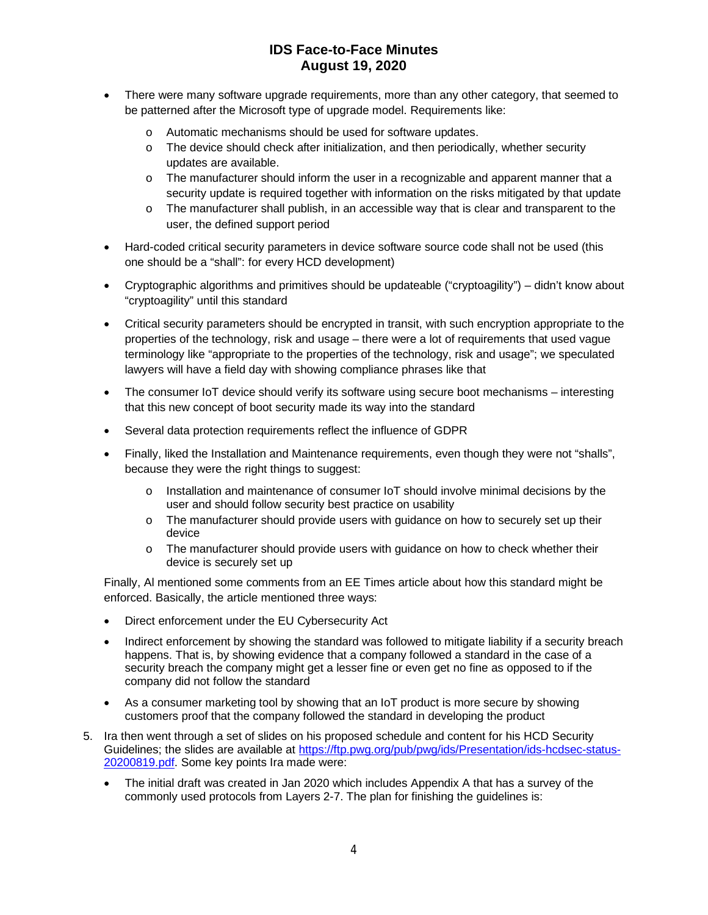- There were many software upgrade requirements, more than any other category, that seemed to be patterned after the Microsoft type of upgrade model. Requirements like:
	- o Automatic mechanisms should be used for software updates.
	- o The device should check after initialization, and then periodically, whether security updates are available.
	- o The manufacturer should inform the user in a recognizable and apparent manner that a security update is required together with information on the risks mitigated by that update
	- o The manufacturer shall publish, in an accessible way that is clear and transparent to the user, the defined support period
- Hard-coded critical security parameters in device software source code shall not be used (this one should be a "shall": for every HCD development)
- Cryptographic algorithms and primitives should be updateable ("cryptoagility") didn't know about "cryptoagility" until this standard
- Critical security parameters should be encrypted in transit, with such encryption appropriate to the properties of the technology, risk and usage – there were a lot of requirements that used vague terminology like "appropriate to the properties of the technology, risk and usage"; we speculated lawyers will have a field day with showing compliance phrases like that
- The consumer IoT device should verify its software using secure boot mechanisms interesting that this new concept of boot security made its way into the standard
- Several data protection requirements reflect the influence of GDPR
- Finally, liked the Installation and Maintenance requirements, even though they were not "shalls", because they were the right things to suggest:
	- o Installation and maintenance of consumer IoT should involve minimal decisions by the user and should follow security best practice on usability
	- o The manufacturer should provide users with guidance on how to securely set up their device
	- o The manufacturer should provide users with guidance on how to check whether their device is securely set up

Finally, Al mentioned some comments from an EE Times article about how this standard might be enforced. Basically, the article mentioned three ways:

- Direct enforcement under the EU Cybersecurity Act
- Indirect enforcement by showing the standard was followed to mitigate liability if a security breach happens. That is, by showing evidence that a company followed a standard in the case of a security breach the company might get a lesser fine or even get no fine as opposed to if the company did not follow the standard
- As a consumer marketing tool by showing that an IoT product is more secure by showing customers proof that the company followed the standard in developing the product
- 5. Ira then went through a set of slides on his proposed schedule and content for his HCD Security Guidelines; the slides are available at<https://ftp.pwg.org/pub/pwg/ids/Presentation/ids-hcdsec-status->20200819.pdf. Some key points Ira made were:
	- The initial draft was created in Jan 2020 which includes Appendix A that has a survey of the commonly used protocols from Layers 2-7. The plan for finishing the guidelines is: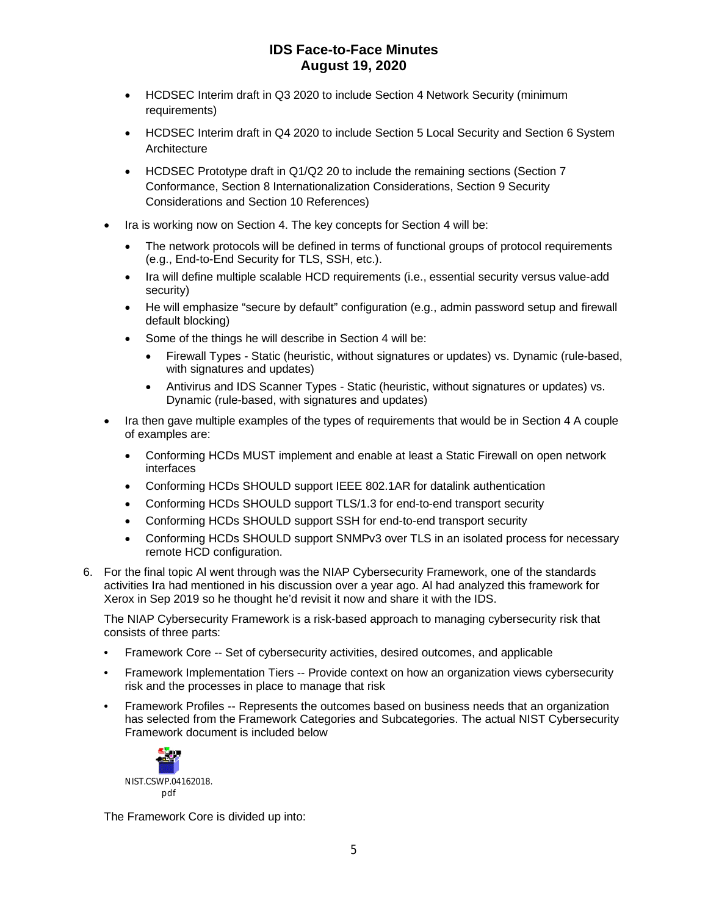- HCDSEC Interim draft in Q3 2020 to include Section 4 Network Security (minimum requirements)
- HCDSEC Interim draft in Q4 2020 to include Section 5 Local Security and Section 6 System Architecture
- HCDSEC Prototype draft in Q1/Q2 20 to include the remaining sections (Section 7 Conformance, Section 8 Internationalization Considerations, Section 9 Security Considerations and Section 10 References)
- Ira is working now on Section 4. The key concepts for Section 4 will be:
	- The network protocols will be defined in terms of functional groups of protocol requirements (e.g., End-to-End Security for TLS, SSH, etc.).
	- Ira will define multiple scalable HCD requirements (i.e., essential security versus value-add security)
	- He will emphasize "secure by default" configuration (e.g., admin password setup and firewall default blocking)
	- Some of the things he will describe in Section 4 will be:
		- Firewall Types Static (heuristic, without signatures or updates) vs. Dynamic (rule-based, with signatures and updates)
		- Antivirus and IDS Scanner Types Static (heuristic, without signatures or updates) vs. Dynamic (rule-based, with signatures and updates)
- Ira then gave multiple examples of the types of requirements that would be in Section 4 A couple of examples are:
	- Conforming HCDs MUST implement and enable at least a Static Firewall on open network interfaces
	- Conforming HCDs SHOULD support IEEE 802.1AR for datalink authentication
	- Conforming HCDs SHOULD support TLS/1.3 for end-to-end transport security
	- Conforming HCDs SHOULD support SSH for end-to-end transport security
	- Conforming HCDs SHOULD support SNMPv3 over TLS in an isolated process for necessary remote HCD configuration.
- 6. For the final topic Al went through was the NIAP Cybersecurity Framework, one of the standards activities Ira had mentioned in his discussion over a year ago. Al had analyzed this framework for Xerox in Sep 2019 so he thought he'd revisit it now and share it with the IDS.

The NIAP Cybersecurity Framework is a risk-based approach to managing cybersecurity risk that consists of three parts:

- Framework Core -- Set of cybersecurity activities, desired outcomes, and applicable
- Framework Implementation Tiers -- Provide context on how an organization views cybersecurity risk and the processes in place to manage that risk
- Framework Profiles -- Represents the outcomes based on business needs that an organization has selected from the Framework Categories and Subcategories. The actual NIST Cybersecurity Framework document is included below



The Framework Core is divided up into: